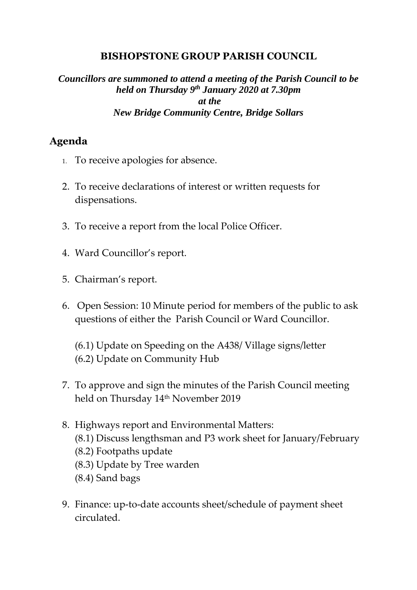#### **BISHOPSTONE GROUP PARISH COUNCIL**

#### *Councillors are summoned to attend a meeting of the Parish Council to be held on Thursday 9 th January 2020 at 7.30pm at the New Bridge Community Centre, Bridge Sollars*

### **Agenda**

- 1. To receive apologies for absence.
- 2. To receive declarations of interest or written requests for dispensations.
- 3. To receive a report from the local Police Officer.
- 4. Ward Councillor's report.
- 5. Chairman's report.
- 6. Open Session: 10 Minute period for members of the public to ask questions of either the Parish Council or Ward Councillor.

(6.1) Update on Speeding on the A438/ Village signs/letter (6.2) Update on Community Hub

- 7. To approve and sign the minutes of the Parish Council meeting held on Thursday 14th November 2019
- 8. Highways report and Environmental Matters: (8.1) Discuss lengthsman and P3 work sheet for January/February (8.2) Footpaths update (8.3) Update by Tree warden (8.4) Sand bags
- 9. Finance: up-to-date accounts sheet/schedule of payment sheet circulated.